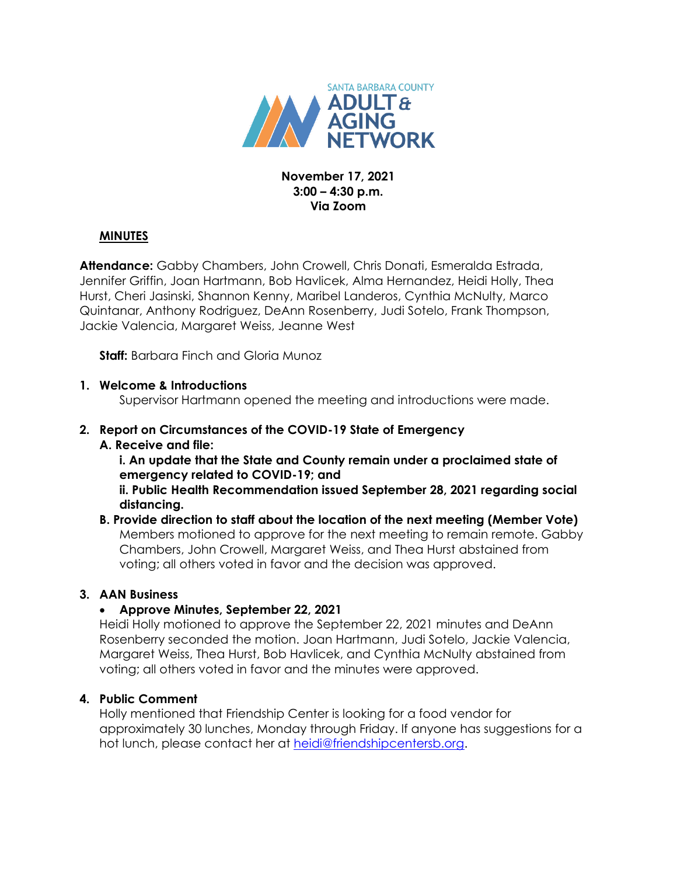

#### **November 17, 2021 3:00 – 4:30 p.m. Via Zoom**

#### **MINUTES**

**Attendance:** Gabby Chambers, John Crowell, Chris Donati, Esmeralda Estrada, Jennifer Griffin, Joan Hartmann, Bob Havlicek, Alma Hernandez, Heidi Holly, Thea Hurst, Cheri Jasinski, Shannon Kenny, Maribel Landeros, Cynthia McNulty, Marco Quintanar, Anthony Rodriguez, DeAnn Rosenberry, Judi Sotelo, Frank Thompson, Jackie Valencia, Margaret Weiss, Jeanne West

**Staff:** Barbara Finch and Gloria Munoz

#### **1. Welcome & Introductions**

Supervisor Hartmann opened the meeting and introductions were made.

# **2. Report on Circumstances of the COVID-19 State of Emergency**

## **A. Receive and file:**

**i. An update that the State and County remain under a proclaimed state of emergency related to COVID-19; and**

**ii. Public Health Recommendation issued September 28, 2021 regarding social distancing.** 

#### **B. Provide direction to staff about the location of the next meeting (Member Vote)** Members motioned to approve for the next meeting to remain remote. Gabby Chambers, John Crowell, Margaret Weiss, and Thea Hurst abstained from voting; all others voted in favor and the decision was approved.

## **3. AAN Business**

## **Approve Minutes, September 22, 2021**

Heidi Holly motioned to approve the September 22, 2021 minutes and DeAnn Rosenberry seconded the motion. Joan Hartmann, Judi Sotelo, Jackie Valencia, Margaret Weiss, Thea Hurst, Bob Havlicek, and Cynthia McNulty abstained from voting; all others voted in favor and the minutes were approved.

## **4. Public Comment**

Holly mentioned that Friendship Center is looking for a food vendor for approximately 30 lunches, Monday through Friday. If anyone has suggestions for a hot lunch, please contact her at [heidi@friendshipcentersb.org.](mailto:heidi@friendshipcentersb.org)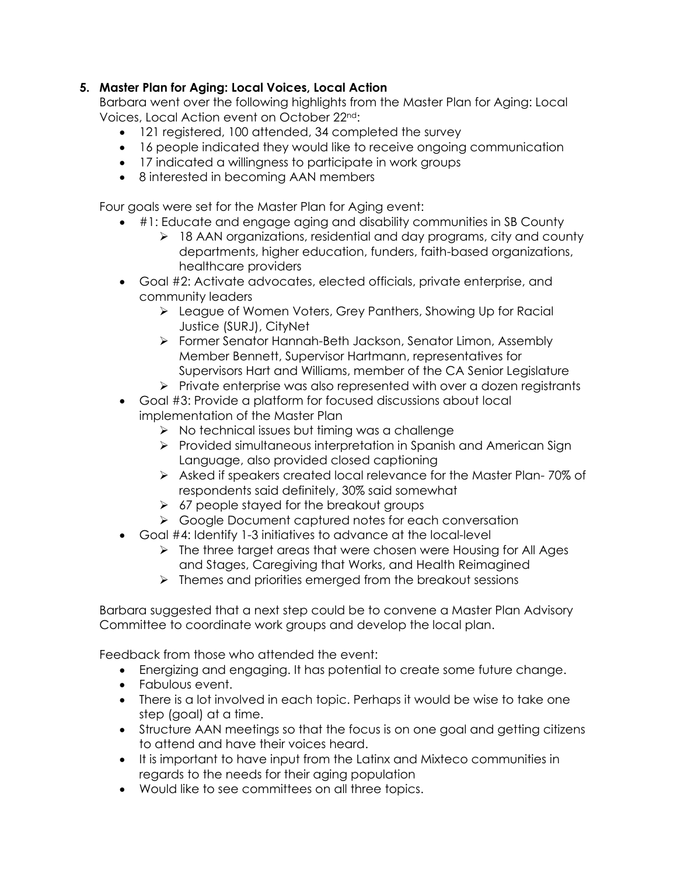## **5. Master Plan for Aging: Local Voices, Local Action**

Barbara went over the following highlights from the Master Plan for Aging: Local Voices, Local Action event on October 22nd:

- 121 registered, 100 attended, 34 completed the survey
- 16 people indicated they would like to receive ongoing communication
- 17 indicated a willingness to participate in work groups
- 8 interested in becoming AAN members

Four goals were set for the Master Plan for Aging event:

- #1: Educate and engage aging and disability communities in SB County
	- > 18 AAN organizations, residential and day programs, city and county departments, higher education, funders, faith-based organizations, healthcare providers
- Goal #2: Activate advocates, elected officials, private enterprise, and community leaders
	- League of Women Voters, Grey Panthers, Showing Up for Racial Justice (SURJ), CityNet
	- Former Senator Hannah-Beth Jackson, Senator Limon, Assembly Member Bennett, Supervisor Hartmann, representatives for Supervisors Hart and Williams, member of the CA Senior Legislature
	- $\triangleright$  Private enterprise was also represented with over a dozen registrants
- Goal #3: Provide a platform for focused discussions about local implementation of the Master Plan
	- $\triangleright$  No technical issues but timing was a challenge
	- Provided simultaneous interpretation in Spanish and American Sign Language, also provided closed captioning
	- Asked if speakers created local relevance for the Master Plan- 70% of respondents said definitely, 30% said somewhat
	- $\geq$  67 people stayed for the breakout groups
	- ▶ Google Document captured notes for each conversation
- Goal #4: Identify 1-3 initiatives to advance at the local-level
	- If the three target areas that were chosen were Housing for All Ages and Stages, Caregiving that Works, and Health Reimagined
	- $\triangleright$  Themes and priorities emerged from the breakout sessions

Barbara suggested that a next step could be to convene a Master Plan Advisory Committee to coordinate work groups and develop the local plan.

Feedback from those who attended the event:

- Energizing and engaging. It has potential to create some future change.
- Fabulous event.
- There is a lot involved in each topic. Perhaps it would be wise to take one step (goal) at a time.
- Structure AAN meetings so that the focus is on one goal and getting citizens to attend and have their voices heard.
- It is important to have input from the Latinx and Mixteco communities in regards to the needs for their aging population
- Would like to see committees on all three topics.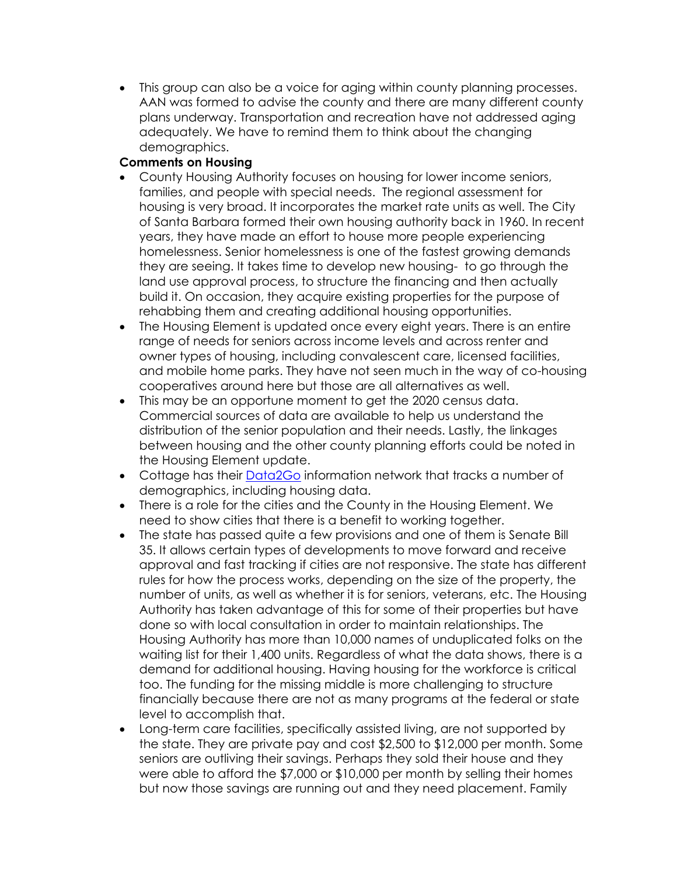This group can also be a voice for aging within county planning processes. AAN was formed to advise the county and there are many different county plans underway. Transportation and recreation have not addressed aging adequately. We have to remind them to think about the changing demographics.

## **Comments on Housing**

- County Housing Authority focuses on housing for lower income seniors, families, and people with special needs. The regional assessment for housing is very broad. It incorporates the market rate units as well. The City of Santa Barbara formed their own housing authority back in 1960. In recent years, they have made an effort to house more people experiencing homelessness. Senior homelessness is one of the fastest growing demands they are seeing. It takes time to develop new housing- to go through the land use approval process, to structure the financing and then actually build it. On occasion, they acquire existing properties for the purpose of rehabbing them and creating additional housing opportunities.
- The Housing Element is updated once every eight years. There is an entire range of needs for seniors across income levels and across renter and owner types of housing, including convalescent care, licensed facilities, and mobile home parks. They have not seen much in the way of co-housing cooperatives around here but those are all alternatives as well.
- This may be an opportune moment to get the 2020 census data. Commercial sources of data are available to help us understand the distribution of the senior population and their needs. Lastly, the linkages between housing and the other county planning efforts could be noted in the Housing Element update.
- Cottage has their [Data2Go](http://cottagedata2go.org/) information network that tracks a number of demographics, including housing data.
- There is a role for the cities and the County in the Housing Element. We need to show cities that there is a benefit to working together.
- The state has passed quite a few provisions and one of them is Senate Bill 35. It allows certain types of developments to move forward and receive approval and fast tracking if cities are not responsive. The state has different rules for how the process works, depending on the size of the property, the number of units, as well as whether it is for seniors, veterans, etc. The Housing Authority has taken advantage of this for some of their properties but have done so with local consultation in order to maintain relationships. The Housing Authority has more than 10,000 names of unduplicated folks on the waiting list for their 1,400 units. Regardless of what the data shows, there is a demand for additional housing. Having housing for the workforce is critical too. The funding for the missing middle is more challenging to structure financially because there are not as many programs at the federal or state level to accomplish that.
- Long-term care facilities, specifically assisted living, are not supported by the state. They are private pay and cost \$2,500 to \$12,000 per month. Some seniors are outliving their savings. Perhaps they sold their house and they were able to afford the \$7,000 or \$10,000 per month by selling their homes but now those savings are running out and they need placement. Family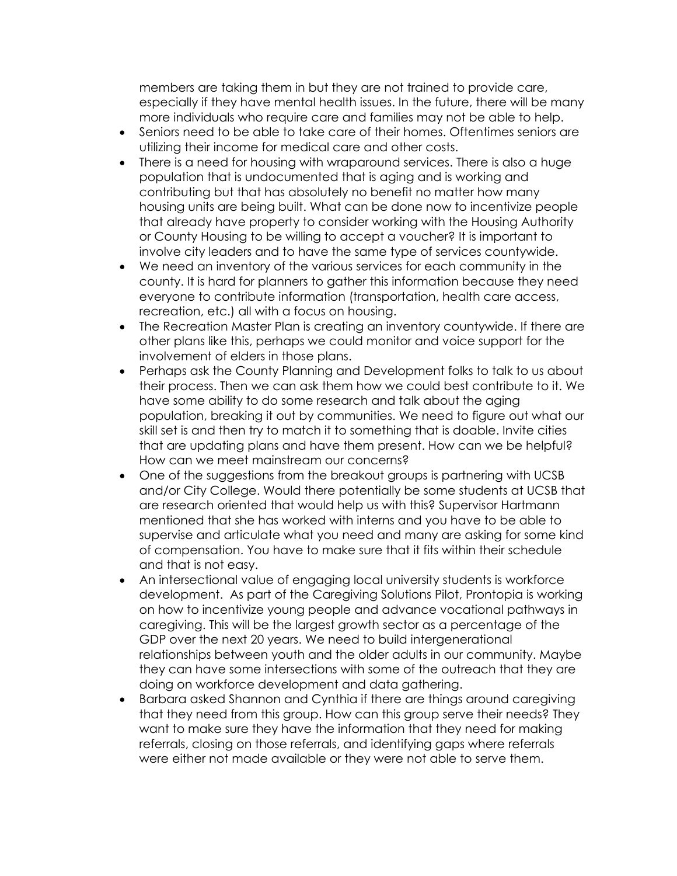members are taking them in but they are not trained to provide care, especially if they have mental health issues. In the future, there will be many more individuals who require care and families may not be able to help.

- Seniors need to be able to take care of their homes. Oftentimes seniors are utilizing their income for medical care and other costs.
- There is a need for housing with wraparound services. There is also a huge population that is undocumented that is aging and is working and contributing but that has absolutely no benefit no matter how many housing units are being built. What can be done now to incentivize people that already have property to consider working with the Housing Authority or County Housing to be willing to accept a voucher? It is important to involve city leaders and to have the same type of services countywide.
- We need an inventory of the various services for each community in the county. It is hard for planners to gather this information because they need everyone to contribute information (transportation, health care access, recreation, etc.) all with a focus on housing.
- The Recreation Master Plan is creating an inventory countywide. If there are other plans like this, perhaps we could monitor and voice support for the involvement of elders in those plans.
- Perhaps ask the County Planning and Development folks to talk to us about their process. Then we can ask them how we could best contribute to it. We have some ability to do some research and talk about the aging population, breaking it out by communities. We need to figure out what our skill set is and then try to match it to something that is doable. Invite cities that are updating plans and have them present. How can we be helpful? How can we meet mainstream our concerns?
- One of the suggestions from the breakout groups is partnering with UCSB and/or City College. Would there potentially be some students at UCSB that are research oriented that would help us with this? Supervisor Hartmann mentioned that she has worked with interns and you have to be able to supervise and articulate what you need and many are asking for some kind of compensation. You have to make sure that it fits within their schedule and that is not easy.
- An intersectional value of engaging local university students is workforce development. As part of the Caregiving Solutions Pilot, Prontopia is working on how to incentivize young people and advance vocational pathways in caregiving. This will be the largest growth sector as a percentage of the GDP over the next 20 years. We need to build intergenerational relationships between youth and the older adults in our community. Maybe they can have some intersections with some of the outreach that they are doing on workforce development and data gathering.
- Barbara asked Shannon and Cynthia if there are things around caregiving that they need from this group. How can this group serve their needs? They want to make sure they have the information that they need for making referrals, closing on those referrals, and identifying gaps where referrals were either not made available or they were not able to serve them.